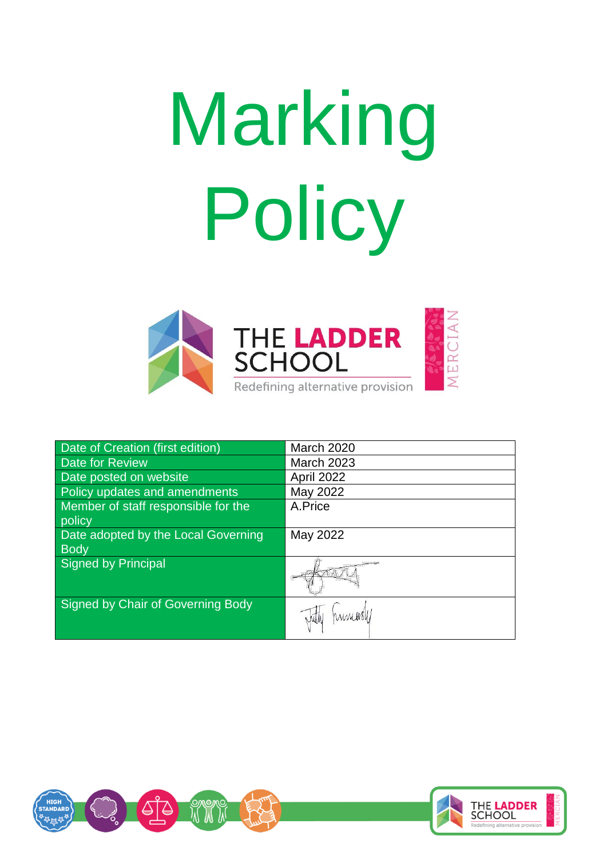# Marking Policy



| <b>Date of Creation (first edition)</b> | <b>March 2020</b> |
|-----------------------------------------|-------------------|
| <b>Date for Review</b>                  | <b>March 2023</b> |
| Date posted on website                  | April 2022        |
| Policy updates and amendments           | May 2022          |
| Member of staff responsible for the     | A.Price           |
| policy                                  |                   |
| Date adopted by the Local Governing     | May 2022          |
| <b>Body</b>                             |                   |
| Signed by Principal                     |                   |
| Signed by Chair of Governing Body       | Junioral          |

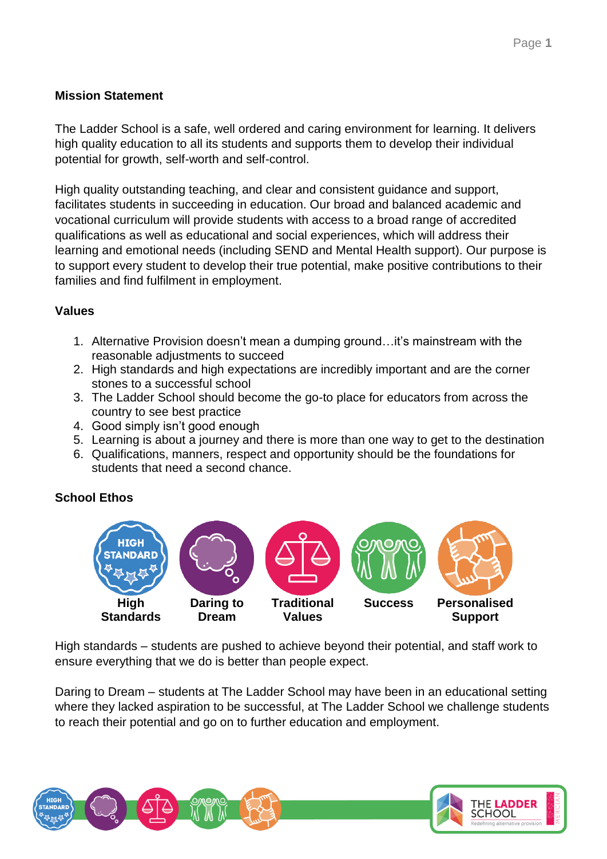### **Mission Statement**

The Ladder School is a safe, well ordered and caring environment for learning. It delivers high quality education to all its students and supports them to develop their individual potential for growth, self-worth and self-control.

High quality outstanding teaching, and clear and consistent guidance and support, facilitates students in succeeding in education. Our broad and balanced academic and vocational curriculum will provide students with access to a broad range of accredited qualifications as well as educational and social experiences, which will address their learning and emotional needs (including SEND and Mental Health support). Our purpose is to support every student to develop their true potential, make positive contributions to their families and find fulfilment in employment.

## **Values**

- 1. Alternative Provision doesn't mean a dumping ground…it's mainstream with the reasonable adjustments to succeed
- 2. High standards and high expectations are incredibly important and are the corner stones to a successful school
- 3. The Ladder School should become the go-to place for educators from across the country to see best practice
- 4. Good simply isn't good enough
- 5. Learning is about a journey and there is more than one way to get to the destination
- 6. Qualifications, manners, respect and opportunity should be the foundations for students that need a second chance.

# **School Ethos**



High standards – students are pushed to achieve beyond their potential, and staff work to ensure everything that we do is better than people expect.

Daring to Dream – students at The Ladder School may have been in an educational setting where they lacked aspiration to be successful, at The Ladder School we challenge students to reach their potential and go on to further education and employment.

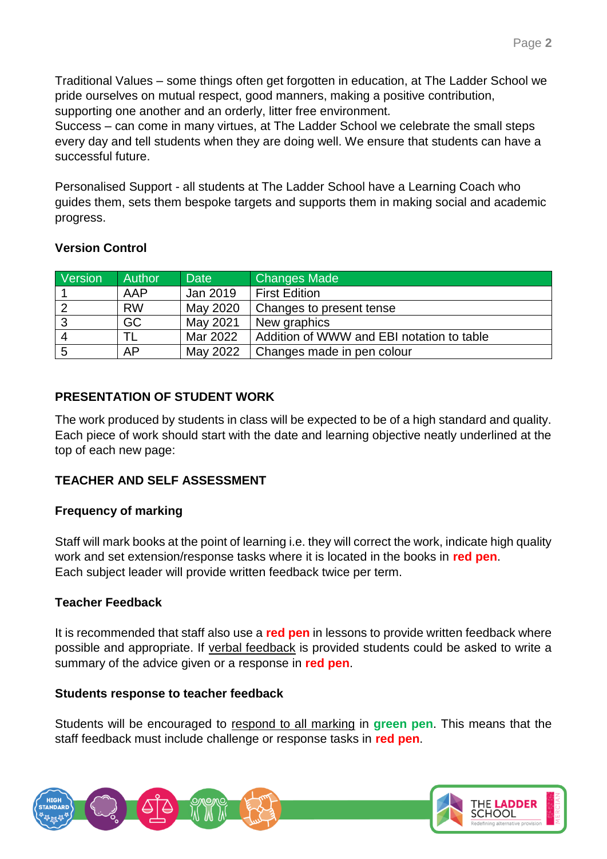Traditional Values – some things often get forgotten in education, at The Ladder School we pride ourselves on mutual respect, good manners, making a positive contribution, supporting one another and an orderly, litter free environment.

Success – can come in many virtues, at The Ladder School we celebrate the small steps every day and tell students when they are doing well. We ensure that students can have a successful future.

Personalised Support - all students at The Ladder School have a Learning Coach who guides them, sets them bespoke targets and supports them in making social and academic progress.

## **Version Control**

| Version | <b>Author</b> | <b>Date</b> | <b>Changes Made</b>                       |  |
|---------|---------------|-------------|-------------------------------------------|--|
|         | AAP           | Jan 2019    | First Edition                             |  |
|         | <b>RW</b>     | May 2020    | Changes to present tense                  |  |
| 3       | GC            | May 2021    | New graphics                              |  |
|         | TL            | Mar 2022    | Addition of WWW and EBI notation to table |  |
|         | AP            | May 2022    | Changes made in pen colour                |  |

# **PRESENTATION OF STUDENT WORK**

The work produced by students in class will be expected to be of a high standard and quality. Each piece of work should start with the date and learning objective neatly underlined at the top of each new page:

# **TEACHER AND SELF ASSESSMENT**

# **Frequency of marking**

Staff will mark books at the point of learning i.e. they will correct the work, indicate high quality work and set extension/response tasks where it is located in the books in **red pen**. Each subject leader will provide written feedback twice per term.

#### **Teacher Feedback**

It is recommended that staff also use a **red pen** in lessons to provide written feedback where possible and appropriate. If verbal feedback is provided students could be asked to write a summary of the advice given or a response in **red pen**.

#### **Students response to teacher feedback**

Students will be encouraged to respond to all marking in **green pen**. This means that the staff feedback must include challenge or response tasks in **red pen**.

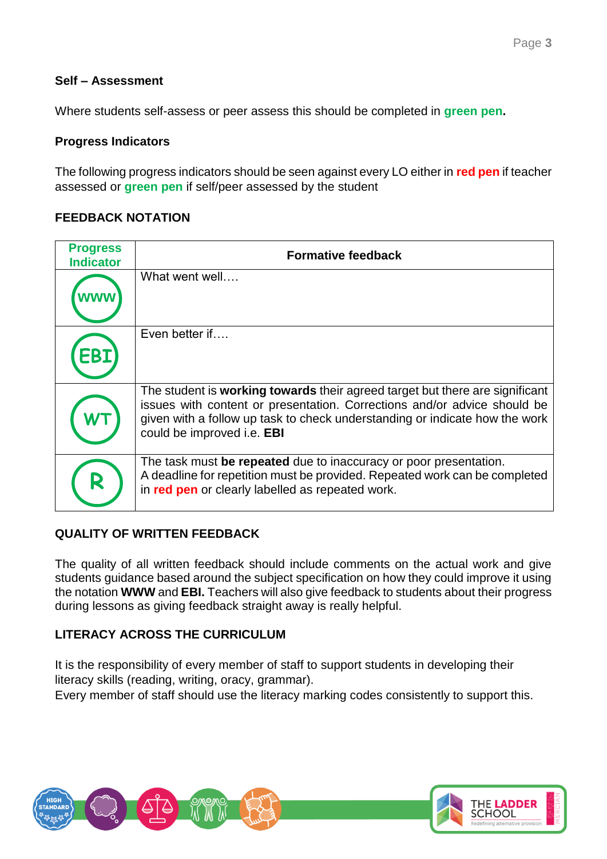#### **Self – Assessment**

Where students self-assess or peer assess this should be completed in **green pen.** 

#### **Progress Indicators**

The following progress indicators should be seen against every LO either in **red pen** if teacher assessed or **green pen** if self/peer assessed by the student

#### **FEEDBACK NOTATION**

| <b>Progress</b><br><b>Indicator</b> | <b>Formative feedback</b>                                                                                                                                                                                                                                             |  |  |
|-------------------------------------|-----------------------------------------------------------------------------------------------------------------------------------------------------------------------------------------------------------------------------------------------------------------------|--|--|
|                                     | What went well                                                                                                                                                                                                                                                        |  |  |
|                                     | Even better if                                                                                                                                                                                                                                                        |  |  |
|                                     | The student is working towards their agreed target but there are significant<br>issues with content or presentation. Corrections and/or advice should be<br>given with a follow up task to check understanding or indicate how the work<br>could be improved i.e. EBI |  |  |
| R                                   | The task must be repeated due to inaccuracy or poor presentation.<br>A deadline for repetition must be provided. Repeated work can be completed<br>in red pen or clearly labelled as repeated work.                                                                   |  |  |

#### **QUALITY OF WRITTEN FEEDBACK**

The quality of all written feedback should include comments on the actual work and give students guidance based around the subject specification on how they could improve it using the notation **WWW** and **EBI.** Teachers will also give feedback to students about their progress during lessons as giving feedback straight away is really helpful.

#### **LITERACY ACROSS THE CURRICULUM**

It is the responsibility of every member of staff to support students in developing their literacy skills (reading, writing, oracy, grammar).

Every member of staff should use the literacy marking codes consistently to support this.